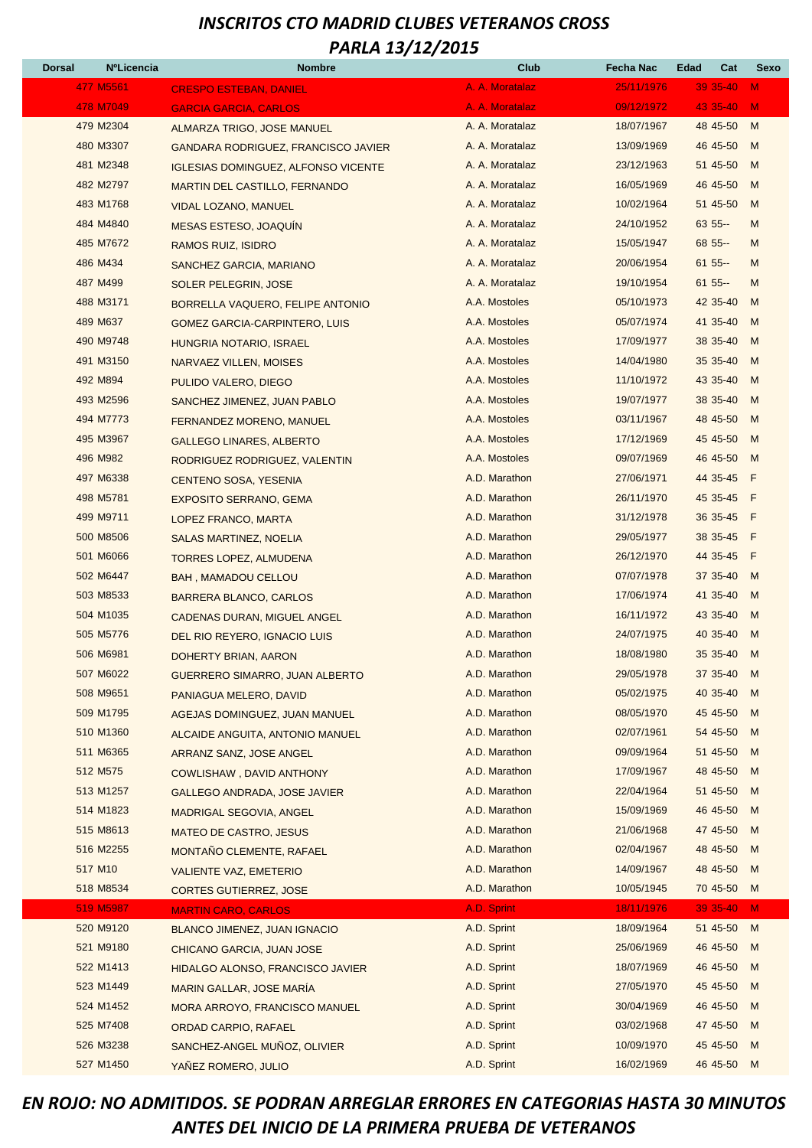| <b>Dorsal</b> | <b>NºLicencia</b> | <b>Nombre</b>                              | Club            | Fecha Nac  | Edad<br>Cat | Sexo           |
|---------------|-------------------|--------------------------------------------|-----------------|------------|-------------|----------------|
|               | 477 M5561         | <b>CRESPO ESTEBAN, DANIEL</b>              | A. A. Moratalaz | 25/11/1976 | 39 35-40    | $\mathbf{M}$   |
|               | 478 M7049         | <b>GARCIA GARCIA, CARLOS</b>               | A. A. Moratalaz | 09/12/1972 | 43 35-40    | $\mathsf{M}$   |
|               | 479 M2304         | ALMARZA TRIGO, JOSE MANUEL                 | A. A. Moratalaz | 18/07/1967 | 48 45-50    | M              |
|               | 480 M3307         | <b>GANDARA RODRIGUEZ, FRANCISCO JAVIER</b> | A. A. Moratalaz | 13/09/1969 | 46 45-50    | M              |
|               | 481 M2348         | <b>IGLESIAS DOMINGUEZ, ALFONSO VICENTE</b> | A. A. Moratalaz | 23/12/1963 | 51 45-50    | M              |
|               | 482 M2797         | <b>MARTIN DEL CASTILLO, FERNANDO</b>       | A. A. Moratalaz | 16/05/1969 | 46 45-50    | M              |
|               | 483 M1768         | VIDAL LOZANO, MANUEL                       | A. A. Moratalaz | 10/02/1964 | 51 45-50    | M              |
|               | 484 M4840         | <b>MESAS ESTESO, JOAQUIN</b>               | A. A. Moratalaz | 24/10/1952 | $635 -$     | M              |
|               | 485 M7672         | <b>RAMOS RUIZ, ISIDRO</b>                  | A. A. Moratalaz | 15/05/1947 | 68 55 --    | M              |
|               | 486 M434          | SANCHEZ GARCIA, MARIANO                    | A. A. Moratalaz | 20/06/1954 | $6155 -$    | M              |
|               | 487 M499          | SOLER PELEGRIN, JOSE                       | A. A. Moratalaz | 19/10/1954 | $6155 -$    | M              |
|               | 488 M3171         | BORRELLA VAQUERO, FELIPE ANTONIO           | A.A. Mostoles   | 05/10/1973 | 42 35-40    | M              |
|               | 489 M637          | <b>GOMEZ GARCIA-CARPINTERO, LUIS</b>       | A.A. Mostoles   | 05/07/1974 | 41 35-40    | M              |
|               | 490 M9748         | HUNGRIA NOTARIO, ISRAEL                    | A.A. Mostoles   | 17/09/1977 | 38 35-40    | M              |
|               | 491 M3150         | NARVAEZ VILLEN, MOISES                     | A.A. Mostoles   | 14/04/1980 | 35 35-40    | M              |
|               | 492 M894          | PULIDO VALERO, DIEGO                       | A.A. Mostoles   | 11/10/1972 | 43 35-40    | M              |
|               | 493 M2596         | SANCHEZ JIMENEZ, JUAN PABLO                | A.A. Mostoles   | 19/07/1977 | 38 35-40    | M              |
|               | 494 M7773         | FERNANDEZ MORENO, MANUEL                   | A.A. Mostoles   | 03/11/1967 | 48 45-50    | M              |
|               | 495 M3967         | <b>GALLEGO LINARES, ALBERTO</b>            | A.A. Mostoles   | 17/12/1969 | 45 45-50    | M              |
|               | 496 M982          | RODRIGUEZ RODRIGUEZ, VALENTIN              | A.A. Mostoles   | 09/07/1969 | 46 45-50    | M              |
|               | 497 M6338         | CENTENO SOSA, YESENIA                      | A.D. Marathon   | 27/06/1971 | 44 35-45    | F              |
|               | 498 M5781         | <b>EXPOSITO SERRANO, GEMA</b>              | A.D. Marathon   | 26/11/1970 | 45 35-45 F  |                |
|               | 499 M9711         | LOPEZ FRANCO, MARTA                        | A.D. Marathon   | 31/12/1978 | 36 35-45 F  |                |
|               | 500 M8506         | SALAS MARTINEZ, NOELIA                     | A.D. Marathon   | 29/05/1977 | 38 35-45    | F              |
|               | 501 M6066         | <b>TORRES LOPEZ, ALMUDENA</b>              | A.D. Marathon   | 26/12/1970 | 44 35-45    | F              |
|               | 502 M6447         | <b>BAH, MAMADOU CELLOU</b>                 | A.D. Marathon   | 07/07/1978 | 37 35-40    | M              |
|               | 503 M8533         | BARRERA BLANCO, CARLOS                     | A.D. Marathon   | 17/06/1974 | 41 35-40    | M              |
|               | 504 M1035         | CADENAS DURAN, MIGUEL ANGEL                | A.D. Marathon   | 16/11/1972 | 43 35-40    | M              |
|               | 505 M5776         | DEL RIO REYERO, IGNACIO LUIS               | A.D. Marathon   | 24/07/1975 | 40 35-40    | M              |
|               | 506 M6981         | DOHERTY BRIAN, AARON                       | A.D. Marathon   | 18/08/1980 | 35 35-40    | M              |
|               | 507 M6022         | <b>GUERRERO SIMARRO, JUAN ALBERTO</b>      | A.D. Marathon   | 29/05/1978 | 37 35-40    | M              |
|               | 508 M9651         | PANIAGUA MELERO, DAVID                     | A.D. Marathon   | 05/02/1975 | 40 35-40    | M              |
|               | 509 M1795         | AGEJAS DOMINGUEZ, JUAN MANUEL              | A.D. Marathon   | 08/05/1970 | 45 45-50    | M              |
|               | 510 M1360         | ALCAIDE ANGUITA, ANTONIO MANUEL            | A.D. Marathon   | 02/07/1961 | 54 45-50    | M              |
|               | 511 M6365         | ARRANZ SANZ, JOSE ANGEL                    | A.D. Marathon   | 09/09/1964 | 51 45-50    | M              |
|               | 512 M575          | <b>COWLISHAW, DAVID ANTHONY</b>            | A.D. Marathon   | 17/09/1967 | 48 45-50    | M              |
|               | 513 M1257         | <b>GALLEGO ANDRADA, JOSE JAVIER</b>        | A.D. Marathon   | 22/04/1964 | 51 45-50    | M              |
|               | 514 M1823         | <b>MADRIGAL SEGOVIA, ANGEL</b>             | A.D. Marathon   | 15/09/1969 | 46 45-50    | M              |
|               | 515 M8613         | <b>MATEO DE CASTRO, JESUS</b>              | A.D. Marathon   | 21/06/1968 | 47 45-50    | M              |
|               | 516 M2255         | MONTAÑO CLEMENTE, RAFAEL                   | A.D. Marathon   | 02/04/1967 | 48 45-50    | M              |
|               | 517 M10           | <b>VALIENTE VAZ, EMETERIO</b>              | A.D. Marathon   | 14/09/1967 | 48 45-50    | M              |
|               | 518 M8534         | <b>CORTES GUTIERREZ, JOSE</b>              | A.D. Marathon   | 10/05/1945 | 70 45-50    | M              |
|               | 519 M5987         | <b>MARTIN CARO, CARLOS</b>                 | A.D. Sprint     | 18/11/1976 | 39 35-40    | $\blacksquare$ |
|               | 520 M9120         | <b>BLANCO JIMENEZ, JUAN IGNACIO</b>        | A.D. Sprint     | 18/09/1964 | 51 45-50    | M              |
|               | 521 M9180         | CHICANO GARCIA, JUAN JOSE                  | A.D. Sprint     | 25/06/1969 | 46 45-50    | M              |
|               | 522 M1413         | HIDALGO ALONSO, FRANCISCO JAVIER           | A.D. Sprint     | 18/07/1969 | 46 45-50    | M              |
|               | 523 M1449         | <b>MARIN GALLAR, JOSE MARIA</b>            | A.D. Sprint     | 27/05/1970 | 45 45-50    | M              |
|               | 524 M1452         | <b>MORA ARROYO, FRANCISCO MANUEL</b>       | A.D. Sprint     | 30/04/1969 | 46 45-50    | M              |
|               | 525 M7408         | ORDAD CARPIO, RAFAEL                       | A.D. Sprint     | 03/02/1968 | 47 45-50    | M              |
|               | 526 M3238         | SANCHEZ-ANGEL MUÑOZ, OLIVIER               | A.D. Sprint     | 10/09/1970 | 45 45 - 50  | M              |
|               | 527 M1450         | YAÑEZ ROMERO, JULIO                        | A.D. Sprint     | 16/02/1969 | 46 45-50 M  |                |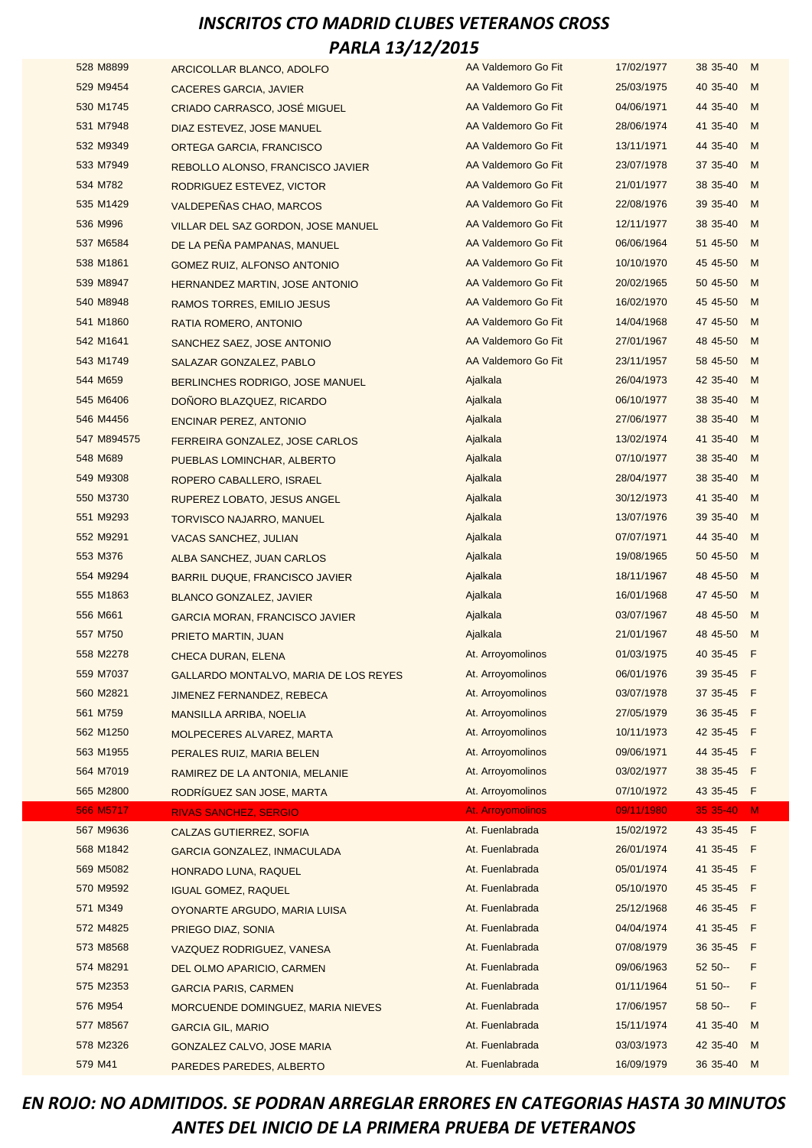| 528 M8899   | ARCICOLLAR BLANCO, ADOLFO             | AA Valdemoro Go Fit | 17/02/1977 | 38 35-40   | M  |
|-------------|---------------------------------------|---------------------|------------|------------|----|
| 529 M9454   | <b>CACERES GARCIA, JAVIER</b>         | AA Valdemoro Go Fit | 25/03/1975 | 40 35-40   | M  |
| 530 M1745   | CRIADO CARRASCO, JOSÉ MIGUEL          | AA Valdemoro Go Fit | 04/06/1971 | 44 35-40   | M  |
| 531 M7948   | DIAZ ESTEVEZ, JOSE MANUEL             | AA Valdemoro Go Fit | 28/06/1974 | 41 35-40   | M  |
| 532 M9349   | <b>ORTEGA GARCIA, FRANCISCO</b>       | AA Valdemoro Go Fit | 13/11/1971 | 44 35-40   | M  |
| 533 M7949   | REBOLLO ALONSO, FRANCISCO JAVIER      | AA Valdemoro Go Fit | 23/07/1978 | 37 35-40   | M  |
| 534 M782    | RODRIGUEZ ESTEVEZ, VICTOR             | AA Valdemoro Go Fit | 21/01/1977 | 38 35-40   | M  |
| 535 M1429   | VALDEPEÑAS CHAO, MARCOS               | AA Valdemoro Go Fit | 22/08/1976 | 39 35-40   | M  |
| 536 M996    | VILLAR DEL SAZ GORDON, JOSE MANUEL    | AA Valdemoro Go Fit | 12/11/1977 | 38 35-40   | M  |
| 537 M6584   | DE LA PEÑA PAMPANAS, MANUEL           | AA Valdemoro Go Fit | 06/06/1964 | 51 45-50   | M  |
| 538 M1861   | GOMEZ RUIZ, ALFONSO ANTONIO           | AA Valdemoro Go Fit | 10/10/1970 | 45 45 - 50 | M  |
| 539 M8947   | <b>HERNANDEZ MARTIN, JOSE ANTONIO</b> | AA Valdemoro Go Fit | 20/02/1965 | 50 45-50   | M  |
| 540 M8948   | RAMOS TORRES, EMILIO JESUS            | AA Valdemoro Go Fit | 16/02/1970 | 45 45-50   | M  |
| 541 M1860   | RATIA ROMERO, ANTONIO                 | AA Valdemoro Go Fit | 14/04/1968 | 47 45-50   | M  |
| 542 M1641   | SANCHEZ SAEZ, JOSE ANTONIO            | AA Valdemoro Go Fit | 27/01/1967 | 48 45-50   | M  |
| 543 M1749   | SALAZAR GONZALEZ, PABLO               | AA Valdemoro Go Fit | 23/11/1957 | 58 45-50   | M  |
| 544 M659    | BERLINCHES RODRIGO, JOSE MANUEL       | Ajalkala            | 26/04/1973 | 42 35-40   | M  |
| 545 M6406   | DONORO BLAZQUEZ, RICARDO              | Ajalkala            | 06/10/1977 | 38 35-40   | M  |
| 546 M4456   | <b>ENCINAR PEREZ, ANTONIO</b>         | Ajalkala            | 27/06/1977 | 38 35-40   | M  |
| 547 M894575 | FERREIRA GONZALEZ, JOSE CARLOS        | Ajalkala            | 13/02/1974 | 41 35-40   | M  |
| 548 M689    | PUEBLAS LOMINCHAR, ALBERTO            | Ajalkala            | 07/10/1977 | 38 35-40   | M  |
| 549 M9308   | ROPERO CABALLERO, ISRAEL              | Ajalkala            | 28/04/1977 | 38 35-40   | M  |
| 550 M3730   | RUPEREZ LOBATO, JESUS ANGEL           | Ajalkala            | 30/12/1973 | 41 35-40   | M  |
| 551 M9293   | TORVISCO NAJARRO, MANUEL              | Ajalkala            | 13/07/1976 | 39 35-40   | M  |
| 552 M9291   | <b>VACAS SANCHEZ, JULIAN</b>          | Ajalkala            | 07/07/1971 | 44 35-40   | M  |
| 553 M376    | ALBA SANCHEZ, JUAN CARLOS             | Ajalkala            | 19/08/1965 | 50 45-50   | M  |
| 554 M9294   | <b>BARRIL DUQUE, FRANCISCO JAVIER</b> | Ajalkala            | 18/11/1967 | 48 45-50   | M  |
| 555 M1863   | <b>BLANCO GONZALEZ, JAVIER</b>        | Ajalkala            | 16/01/1968 | 47 45-50   | M  |
| 556 M661    | <b>GARCIA MORAN, FRANCISCO JAVIER</b> | Ajalkala            | 03/07/1967 | 48 45-50   | M  |
| 557 M750    | PRIETO MARTIN, JUAN                   | Ajalkala            | 21/01/1967 | 48 45-50   | M  |
| 558 M2278   | <b>CHECA DURAN, ELENA</b>             | At. Arroyomolinos   | 01/03/1975 | 40 35-45 F |    |
| 559 M7037   | GALLARDO MONTALVO, MARIA DE LOS REYES | At. Arroyomolinos   | 06/01/1976 | 39 35-45   | -F |
| 560 M2821   | JIMENEZ FERNANDEZ, REBECA             | At. Arroyomolinos   | 03/07/1978 | 37 35-45 F |    |
| 561 M759    | <b>MANSILLA ARRIBA, NOELIA</b>        | At. Arroyomolinos   | 27/05/1979 | 36 35-45 F |    |
| 562 M1250   | MOLPECERES ALVAREZ, MARTA             | At. Arroyomolinos   | 10/11/1973 | 42 35-45 F |    |
| 563 M1955   | PERALES RUIZ, MARIA BELEN             | At. Arroyomolinos   | 09/06/1971 | 44 35-45 F |    |
| 564 M7019   | RAMIREZ DE LA ANTONIA, MELANIE        | At. Arroyomolinos   | 03/02/1977 | 38 35-45 F |    |
| 565 M2800   | RODRÍGUEZ SAN JOSE, MARTA             | At. Arroyomolinos   | 07/10/1972 | 43 35-45 F |    |
| 566 M5717   | <b>RIVAS SANCHEZ, SERGIO</b>          | At. Arroyomolinos   | 09/11/1980 | 35 35-40   | M  |
| 567 M9636   | CALZAS GUTIERREZ, SOFIA               | At. Fuenlabrada     | 15/02/1972 | 43 35-45 F |    |
| 568 M1842   | <b>GARCIA GONZALEZ, INMACULADA</b>    | At. Fuenlabrada     | 26/01/1974 | 41 35-45 F |    |
| 569 M5082   | HONRADO LUNA, RAQUEL                  | At. Fuenlabrada     | 05/01/1974 | 41 35-45 F |    |
| 570 M9592   | <b>IGUAL GOMEZ, RAQUEL</b>            | At. Fuenlabrada     | 05/10/1970 | 45 35-45 F |    |
| 571 M349    | OYONARTE ARGUDO, MARIA LUISA          | At. Fuenlabrada     | 25/12/1968 | 46 35-45 F |    |
| 572 M4825   | PRIEGO DIAZ, SONIA                    | At. Fuenlabrada     | 04/04/1974 | 41 35-45 F |    |
| 573 M8568   | VAZQUEZ RODRIGUEZ, VANESA             | At. Fuenlabrada     | 07/08/1979 | 36 35-45 F |    |
| 574 M8291   | DEL OLMO APARICIO, CARMEN             | At. Fuenlabrada     | 09/06/1963 | 52 50 --   | F  |
| 575 M2353   | <b>GARCIA PARIS, CARMEN</b>           | At. Fuenlabrada     | 01/11/1964 | $5150 -$   | F  |
| 576 M954    | MORCUENDE DOMINGUEZ, MARIA NIEVES     | At. Fuenlabrada     | 17/06/1957 | 58 50 --   | F  |
| 577 M8567   | <b>GARCIA GIL, MARIO</b>              | At. Fuenlabrada     | 15/11/1974 | 41 35-40   | M  |
| 578 M2326   | GONZALEZ CALVO, JOSE MARIA            | At. Fuenlabrada     | 03/03/1973 | 42 35-40   | M  |
| 579 M41     | PAREDES PAREDES, ALBERTO              | At. Fuenlabrada     | 16/09/1979 | 36 35-40   | M  |
|             |                                       |                     |            |            |    |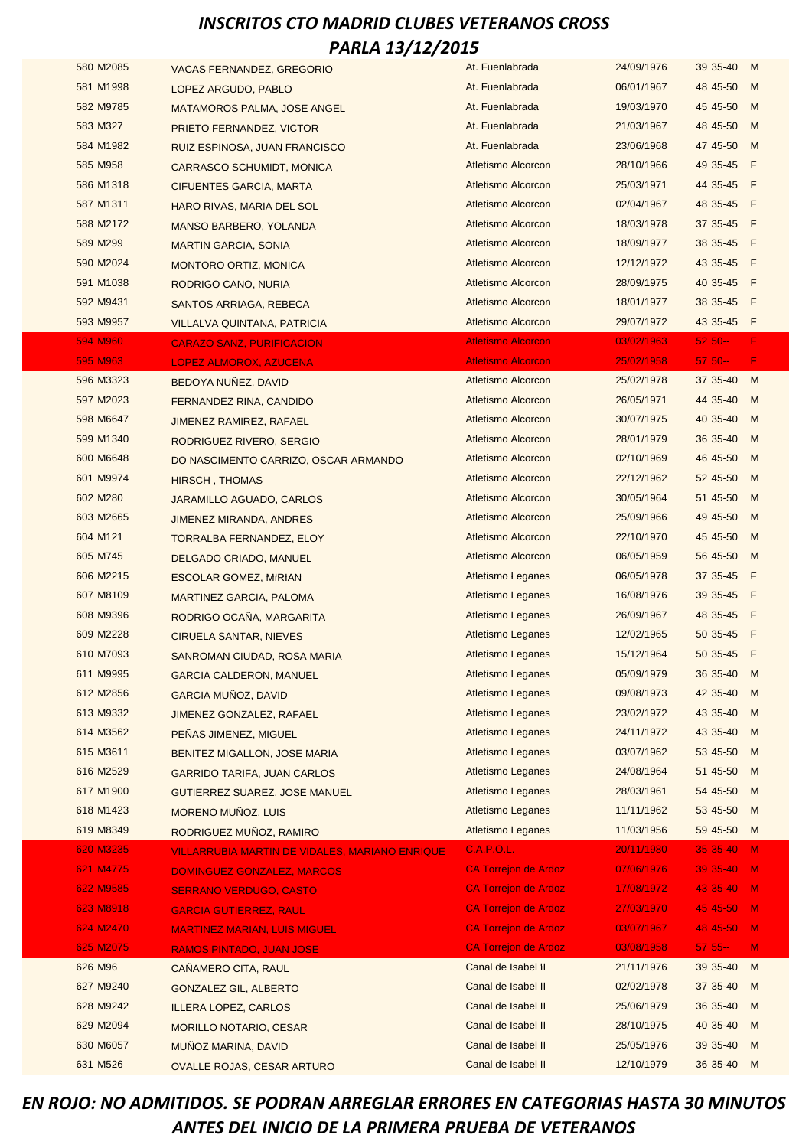| 580 M2085 | <b>VACAS FERNANDEZ, GREGORIO</b>                      | At. Fuenlabrada             | 24/09/1976 | 39 35-40        | M              |
|-----------|-------------------------------------------------------|-----------------------------|------------|-----------------|----------------|
| 581 M1998 | LOPEZ ARGUDO, PABLO                                   | At. Fuenlabrada             | 06/01/1967 | 48 45-50        | M              |
| 582 M9785 | <b>MATAMOROS PALMA, JOSE ANGEL</b>                    | At. Fuenlabrada             | 19/03/1970 | 45 45-50        | M              |
| 583 M327  | PRIETO FERNANDEZ, VICTOR                              | At. Fuenlabrada             | 21/03/1967 | 48 45-50        | M              |
| 584 M1982 | <b>RUIZ ESPINOSA, JUAN FRANCISCO</b>                  | At. Fuenlabrada             | 23/06/1968 | 47 45-50        | M              |
| 585 M958  | <b>CARRASCO SCHUMIDT, MONICA</b>                      | Atletismo Alcorcon          | 28/10/1966 | 49 35-45        | F              |
| 586 M1318 | CIFUENTES GARCIA, MARTA                               | <b>Atletismo Alcorcon</b>   | 25/03/1971 | 44 35-45        | F              |
| 587 M1311 | <b>HARO RIVAS, MARIA DEL SOL</b>                      | <b>Atletismo Alcorcon</b>   | 02/04/1967 | 48 35-45        | F              |
| 588 M2172 | <b>MANSO BARBERO, YOLANDA</b>                         | Atletismo Alcorcon          | 18/03/1978 | 37 35-45 F      |                |
| 589 M299  | <b>MARTIN GARCIA, SONIA</b>                           | <b>Atletismo Alcorcon</b>   | 18/09/1977 | 38 35-45<br>- F |                |
| 590 M2024 | <b>MONTORO ORTIZ, MONICA</b>                          | <b>Atletismo Alcorcon</b>   | 12/12/1972 | 43 35-45 F      |                |
| 591 M1038 | RODRIGO CANO, NURIA                                   | <b>Atletismo Alcorcon</b>   | 28/09/1975 | 40 35-45        | F              |
| 592 M9431 | SANTOS ARRIAGA, REBECA                                | Atletismo Alcorcon          | 18/01/1977 | 38 35-45        | F              |
| 593 M9957 | <b>VILLALVA QUINTANA, PATRICIA</b>                    | Atletismo Alcorcon          | 29/07/1972 | 43 35-45 F      |                |
| 594 M960  | <b>CARAZO SANZ, PURIFICACION</b>                      | <b>Atletismo Alcorcon</b>   | 03/02/1963 | $5250 -$        | F              |
| 595 M963  | <b>LOPEZ ALMOROX, AZUCENA</b>                         | <b>Atletismo Alcorcon</b>   | 25/02/1958 | $5750 -$        | F              |
| 596 M3323 | BEDOYA NUÑEZ, DAVID                                   | Atletismo Alcorcon          | 25/02/1978 | 37 35-40        | M              |
| 597 M2023 | FERNANDEZ RINA, CANDIDO                               | Atletismo Alcorcon          | 26/05/1971 | 44 35-40        | M              |
| 598 M6647 | JIMENEZ RAMIREZ, RAFAEL                               | Atletismo Alcorcon          | 30/07/1975 | 40 35-40        | M              |
| 599 M1340 | RODRIGUEZ RIVERO, SERGIO                              | <b>Atletismo Alcorcon</b>   | 28/01/1979 | 36 35-40        | M              |
| 600 M6648 | DO NASCIMENTO CARRIZO, OSCAR ARMANDO                  | Atletismo Alcorcon          | 02/10/1969 | 46 45-50        | M              |
| 601 M9974 | <b>HIRSCH, THOMAS</b>                                 | <b>Atletismo Alcorcon</b>   | 22/12/1962 | 52 45-50        | M              |
| 602 M280  | JARAMILLO AGUADO, CARLOS                              | Atletismo Alcorcon          | 30/05/1964 | 51 45-50        | M              |
| 603 M2665 | JIMENEZ MIRANDA, ANDRES                               | Atletismo Alcorcon          | 25/09/1966 | 49 45-50        | M              |
| 604 M121  | TORRALBA FERNANDEZ, ELOY                              | Atletismo Alcorcon          | 22/10/1970 | 45 45 - 50      | M              |
| 605 M745  | <b>DELGADO CRIADO, MANUEL</b>                         | Atletismo Alcorcon          | 06/05/1959 | 56 45-50        | M              |
| 606 M2215 | <b>ESCOLAR GOMEZ, MIRIAN</b>                          | <b>Atletismo Leganes</b>    | 06/05/1978 | 37 35-45 F      |                |
| 607 M8109 | <b>MARTINEZ GARCIA, PALOMA</b>                        | <b>Atletismo Leganes</b>    | 16/08/1976 | 39 35-45        | - F            |
| 608 M9396 | RODRIGO OCAÑA, MARGARITA                              | Atletismo Leganes           | 26/09/1967 | 48 35-45        | -F             |
| 609 M2228 | <b>CIRUELA SANTAR, NIEVES</b>                         | Atletismo Leganes           | 12/02/1965 | 50 35-45        | F              |
| 610 M7093 | SANROMAN CIUDAD, ROSA MARIA                           | Atletismo Leganes           | 15/12/1964 | 50 35-45<br>- F |                |
| 611 M9995 | <b>GARCIA CALDERON, MANUEL</b>                        | Atletismo Leganes           | 05/09/1979 | 36 35-40        | M              |
| 612 M2856 | <b>GARCIA MUÑOZ, DAVID</b>                            | <b>Atletismo Leganes</b>    | 09/08/1973 | 42 35-40        | M              |
| 613 M9332 | JIMENEZ GONZALEZ, RAFAEL                              | <b>Atletismo Leganes</b>    | 23/02/1972 | 43 35-40        | M              |
| 614 M3562 | PEÑAS JIMENEZ, MIGUEL                                 | <b>Atletismo Leganes</b>    | 24/11/1972 | 43 35-40        | M              |
| 615 M3611 | <b>BENITEZ MIGALLON, JOSE MARIA</b>                   | <b>Atletismo Leganes</b>    | 03/07/1962 | 53 45-50        | M              |
| 616 M2529 | <b>GARRIDO TARIFA, JUAN CARLOS</b>                    | Atletismo Leganes           | 24/08/1964 | 51 45-50        | M              |
| 617 M1900 | <b>GUTIERREZ SUAREZ, JOSE MANUEL</b>                  | <b>Atletismo Leganes</b>    | 28/03/1961 | 54 45-50        | M              |
| 618 M1423 | MORENO MUÑOZ, LUIS                                    | <b>Atletismo Leganes</b>    | 11/11/1962 | 53 45-50        | M              |
| 619 M8349 | RODRIGUEZ MUÑOZ, RAMIRO                               | Atletismo Leganes           | 11/03/1956 | 59 45-50        | M              |
| 620 M3235 | <b>VILLARRUBIA MARTIN DE VIDALES, MARIANO ENRIQUE</b> | C.A.P.O.L.                  | 20/11/1980 | 35 35-40        | $\mathbf{M}$   |
| 621 M4775 | <b>DOMINGUEZ GONZALEZ, MARCOS</b>                     | <b>CA Torrejon de Ardoz</b> | 07/06/1976 | 39 35-40        | $-M$           |
| 622 M9585 | <b>SERRANO VERDUGO, CASTO</b>                         | <b>CA Torrejon de Ardoz</b> | 17/08/1972 | 43 35-40        | $-M$           |
| 623 M8918 | <b>GARCIA GUTIERREZ, RAUL</b>                         | <b>CA Torrejon de Ardoz</b> | 27/03/1970 | 45 45-50        | $\mathbf{M}$   |
| 624 M2470 | <b>MARTINEZ MARIAN, LUIS MIGUEL</b>                   | <b>CA Torrejon de Ardoz</b> | 03/07/1967 | 48 45-50        | $\blacksquare$ |
| 625 M2075 | <b>RAMOS PINTADO, JUAN JOSE</b>                       | <b>CA Torrejon de Ardoz</b> | 03/08/1958 | $57.55 -$       | M              |
| 626 M96   | CAÑAMERO CITA, RAUL                                   | Canal de Isabel II          | 21/11/1976 | 39 35-40        | M              |
| 627 M9240 | <b>GONZALEZ GIL, ALBERTO</b>                          | Canal de Isabel II          | 02/02/1978 | 37 35-40        | M              |
| 628 M9242 | <b>ILLERA LOPEZ, CARLOS</b>                           | Canal de Isabel II          | 25/06/1979 | 36 35-40        | M              |
| 629 M2094 | <b>MORILLO NOTARIO, CESAR</b>                         | Canal de Isabel II          | 28/10/1975 | 40 35-40        | M              |
| 630 M6057 | MUÑOZ MARINA, DAVID                                   | Canal de Isabel II          | 25/05/1976 | 39 35-40        | M              |
| 631 M526  | <b>OVALLE ROJAS, CESAR ARTURO</b>                     | Canal de Isabel II          | 12/10/1979 | 36 35-40        | M              |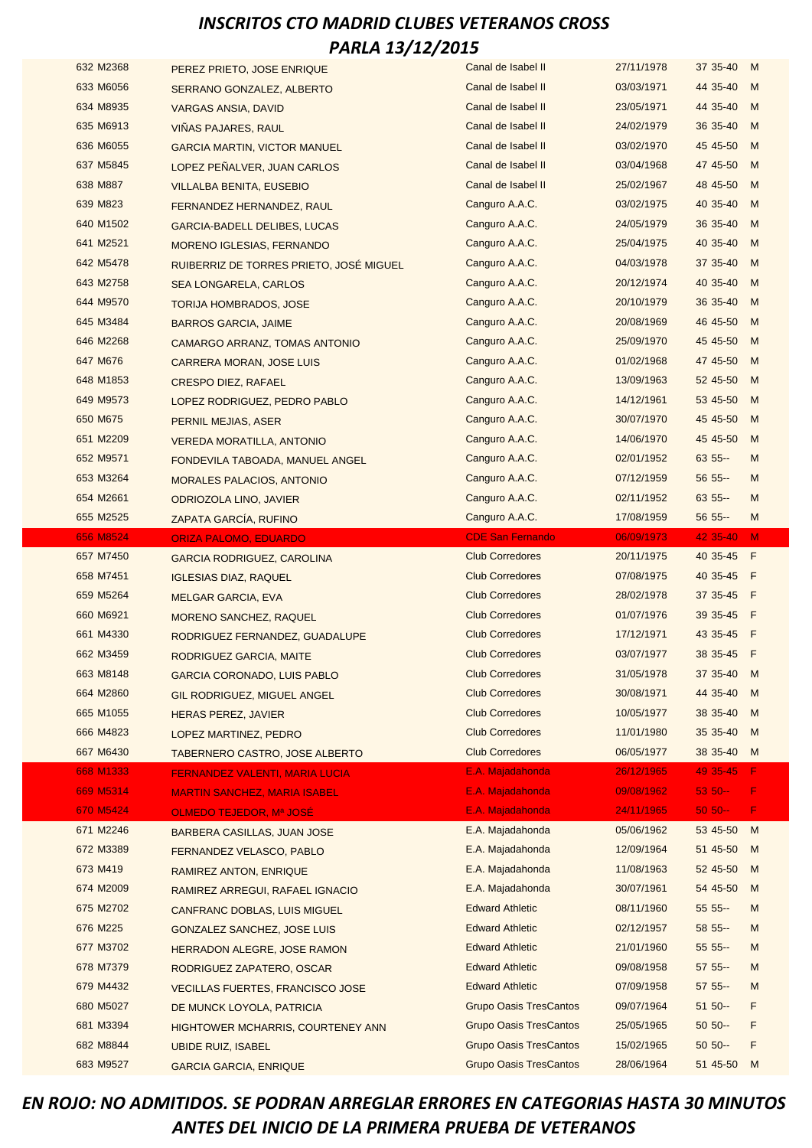| 632 M2368 | PEREZ PRIETO, JOSE ENRIQUE               | Canal de Isabel II            | 27/11/1978 | 37 35-40   | M   |
|-----------|------------------------------------------|-------------------------------|------------|------------|-----|
| 633 M6056 | SERRANO GONZALEZ, ALBERTO                | Canal de Isabel II            | 03/03/1971 | 44 35-40   | M   |
| 634 M8935 | <b>VARGAS ANSIA, DAVID</b>               | Canal de Isabel II            | 23/05/1971 | 44 35-40   | M   |
| 635 M6913 | VIÑAS PAJARES, RAUL                      | Canal de Isabel II            | 24/02/1979 | 36 35-40   | M   |
| 636 M6055 | <b>GARCIA MARTIN, VICTOR MANUEL</b>      | Canal de Isabel II            | 03/02/1970 | 45 45 - 50 | M   |
| 637 M5845 | LOPEZ PEÑALVER, JUAN CARLOS              | Canal de Isabel II            | 03/04/1968 | 47 45-50   | M   |
| 638 M887  | <b>VILLALBA BENITA, EUSEBIO</b>          | Canal de Isabel II            | 25/02/1967 | 48 45-50   | M   |
| 639 M823  | FERNANDEZ HERNANDEZ, RAUL                | Canguro A.A.C.                | 03/02/1975 | 40 35-40   | M   |
| 640 M1502 | <b>GARCIA-BADELL DELIBES, LUCAS</b>      | Canguro A.A.C.                | 24/05/1979 | 36 35-40   | M   |
| 641 M2521 | <b>MORENO IGLESIAS, FERNANDO</b>         | Canguro A.A.C.                | 25/04/1975 | 40 35-40   | M   |
| 642 M5478 | RUIBERRIZ DE TORRES PRIETO, JOSÉ MIGUEL  | Canguro A.A.C.                | 04/03/1978 | 37 35-40   | M   |
| 643 M2758 | <b>SEA LONGARELA, CARLOS</b>             | Canguro A.A.C.                | 20/12/1974 | 40 35-40   | M   |
| 644 M9570 | <b>TORIJA HOMBRADOS, JOSE</b>            | Canguro A.A.C.                | 20/10/1979 | 36 35-40   | M   |
| 645 M3484 | <b>BARROS GARCIA, JAIME</b>              | Canguro A.A.C.                | 20/08/1969 | 46 45-50   | M   |
| 646 M2268 | CAMARGO ARRANZ, TOMAS ANTONIO            | Canguro A.A.C.                | 25/09/1970 | 45 45-50   | M   |
| 647 M676  | <b>CARRERA MORAN, JOSE LUIS</b>          | Canguro A.A.C.                | 01/02/1968 | 47 45-50   | M   |
| 648 M1853 | <b>CRESPO DIEZ, RAFAEL</b>               | Canguro A.A.C.                | 13/09/1963 | 52 45-50   | M   |
| 649 M9573 | LOPEZ RODRIGUEZ, PEDRO PABLO             | Canguro A.A.C.                | 14/12/1961 | 53 45-50   | M   |
| 650 M675  | PERNIL MEJIAS, ASER                      | Canguro A.A.C.                | 30/07/1970 | 45 45 - 50 | M   |
| 651 M2209 | <b>VEREDA MORATILLA, ANTONIO</b>         | Canguro A.A.C.                | 14/06/1970 | 45 45-50   | M   |
| 652 M9571 | FONDEVILA TABOADA, MANUEL ANGEL          | Canguro A.A.C.                | 02/01/1952 | 63 55 --   | M   |
| 653 M3264 | <b>MORALES PALACIOS, ANTONIO</b>         | Canguro A.A.C.                | 07/12/1959 | 56 55 --   | M   |
| 654 M2661 | ODRIOZOLA LINO, JAVIER                   | Canguro A.A.C.                | 02/11/1952 | $63.55 -$  | M   |
| 655 M2525 | ZAPATA GARCÍA, RUFINO                    | Canguro A.A.C.                | 17/08/1959 | 56 55 --   | M   |
| 656 M8524 | <b>ORIZA PALOMO, EDUARDO</b>             | <b>CDE San Fernando</b>       | 06/09/1973 | 42 35-40   | M   |
|           |                                          | <b>Club Corredores</b>        | 20/11/1975 | 40 35-45   | - F |
| 657 M7450 | <b>GARCIA RODRIGUEZ, CAROLINA</b>        |                               |            |            |     |
| 658 M7451 | <b>IGLESIAS DIAZ, RAQUEL</b>             | <b>Club Corredores</b>        | 07/08/1975 | 40 35-45   | - F |
| 659 M5264 | <b>MELGAR GARCIA, EVA</b>                | <b>Club Corredores</b>        | 28/02/1978 | 37 35-45 F |     |
| 660 M6921 | <b>MORENO SANCHEZ, RAQUEL</b>            | <b>Club Corredores</b>        | 01/07/1976 | 39 35-45   | - F |
| 661 M4330 | RODRIGUEZ FERNANDEZ, GUADALUPE           | <b>Club Corredores</b>        | 17/12/1971 | 43 35-45   | - F |
| 662 M3459 | RODRIGUEZ GARCIA, MAITE                  | <b>Club Corredores</b>        | 03/07/1977 | 38 35-45   | - F |
| 663 M8148 | <b>GARCIA CORONADO, LUIS PABLO</b>       | <b>Club Corredores</b>        | 31/05/1978 | 37 35-40   | M   |
| 664 M2860 | GIL RODRIGUEZ, MIGUEL ANGEL              | <b>Club Corredores</b>        | 30/08/1971 | 44 35-40   | M   |
| 665 M1055 | <b>HERAS PEREZ, JAVIER</b>               | <b>Club Corredores</b>        | 10/05/1977 | 38 35-40   | M   |
| 666 M4823 | LOPEZ MARTINEZ, PEDRO                    | <b>Club Corredores</b>        | 11/01/1980 | 35 35-40   | M   |
| 667 M6430 | <b>TABERNERO CASTRO, JOSE ALBERTO</b>    | <b>Club Corredores</b>        | 06/05/1977 | 38 35-40   | M   |
| 668 M1333 | <b>FERNANDEZ VALENTI, MARIA LUCIA</b>    | E.A. Majadahonda              | 26/12/1965 | 49 35-45   | F.  |
| 669 M5314 | <b>MARTIN SANCHEZ, MARIA ISABEL</b>      | E.A. Majadahonda              | 09/08/1962 | $5350 -$   | F   |
| 670 M5424 | OLMEDO TEJEDOR, Mª JOSÉ                  | E.A. Majadahonda              | 24/11/1965 | $50 50 -$  | F.  |
| 671 M2246 | BARBERA CASILLAS, JUAN JOSE              | E.A. Majadahonda              | 05/06/1962 | 53 45-50   | M   |
| 672 M3389 | FERNANDEZ VELASCO, PABLO                 | E.A. Majadahonda              | 12/09/1964 | 51 45-50   | M   |
| 673 M419  | RAMIREZ ANTON, ENRIQUE                   | E.A. Majadahonda              | 11/08/1963 | 52 45-50   | M   |
| 674 M2009 | RAMIREZ ARREGUI, RAFAEL IGNACIO          | E.A. Majadahonda              | 30/07/1961 | 54 45-50   | M   |
| 675 M2702 | <b>CANFRANC DOBLAS, LUIS MIGUEL</b>      | <b>Edward Athletic</b>        | 08/11/1960 | $555 -$    | M   |
| 676 M225  | <b>GONZALEZ SANCHEZ, JOSE LUIS</b>       | <b>Edward Athletic</b>        | 02/12/1957 | 58 55 --   | M   |
| 677 M3702 | HERRADON ALEGRE, JOSE RAMON              | <b>Edward Athletic</b>        | 21/01/1960 | 55 55 --   | M   |
| 678 M7379 | RODRIGUEZ ZAPATERO, OSCAR                | <b>Edward Athletic</b>        | 09/08/1958 | 57 55 --   | M   |
| 679 M4432 | <b>VECILLAS FUERTES, FRANCISCO JOSE</b>  | <b>Edward Athletic</b>        | 07/09/1958 | $575 - -$  | M   |
| 680 M5027 | DE MUNCK LOYOLA, PATRICIA                | <b>Grupo Oasis TresCantos</b> | 09/07/1964 | $51 50 -$  | F   |
| 681 M3394 | <b>HIGHTOWER MCHARRIS, COURTENEY ANN</b> | <b>Grupo Oasis TresCantos</b> | 25/05/1965 | $50.50 -$  | F   |
| 682 M8844 | UBIDE RUIZ, ISABEL                       | <b>Grupo Oasis TresCantos</b> | 15/02/1965 | $50.50 -$  | F   |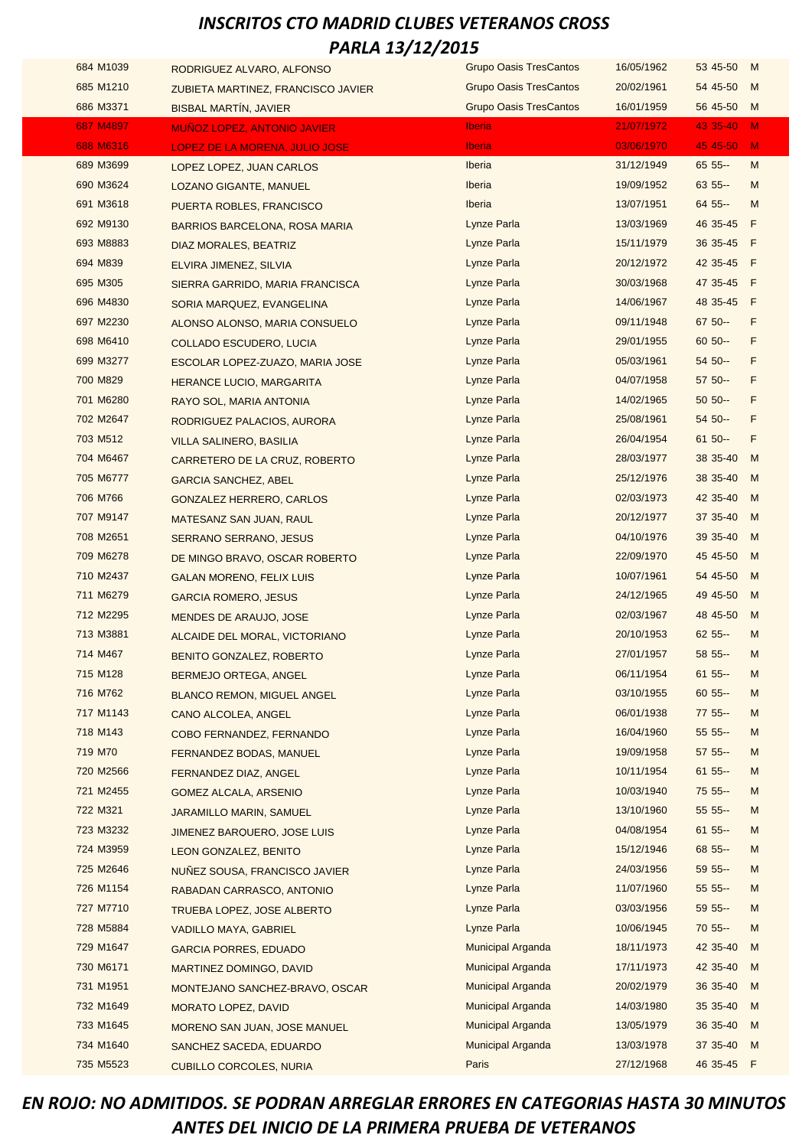| 684 M1039 | RODRIGUEZ ALVARO, ALFONSO             | <b>Grupo Oasis TresCantos</b> | 16/05/1962 | 53 45-50   | M   |
|-----------|---------------------------------------|-------------------------------|------------|------------|-----|
| 685 M1210 | ZUBIETA MARTINEZ, FRANCISCO JAVIER    | <b>Grupo Oasis TresCantos</b> | 20/02/1961 | 54 45-50   | M   |
| 686 M3371 | <b>BISBAL MARTIN, JAVIER</b>          | <b>Grupo Oasis TresCantos</b> | 16/01/1959 | 56 45-50   | M   |
| 687 M4897 | <b>MUÑOZ LOPEZ, ANTONIO JAVIER</b>    | <b>Iberia</b>                 | 21/07/1972 | 43 35-40   | M   |
| 688 M6316 | <b>LOPEZ DE LA MORENA, JULIO JOSE</b> | <b>Iberia</b>                 | 03/06/1970 | 45 45-50   | M   |
| 689 M3699 | LOPEZ LOPEZ, JUAN CARLOS              | Iberia                        | 31/12/1949 | $65.55 -$  | M   |
| 690 M3624 | <b>LOZANO GIGANTE, MANUEL</b>         | <b>Iberia</b>                 | 19/09/1952 | 63 55 --   | M   |
| 691 M3618 | PUERTA ROBLES, FRANCISCO              | Iberia                        | 13/07/1951 | $64.55 -$  | M   |
| 692 M9130 | BARRIOS BARCELONA, ROSA MARIA         | Lynze Parla                   | 13/03/1969 | 46 35-45   | F   |
| 693 M8883 | DIAZ MORALES, BEATRIZ                 | Lynze Parla                   | 15/11/1979 | 36 35-45 F |     |
| 694 M839  | ELVIRA JIMENEZ, SILVIA                | Lynze Parla                   | 20/12/1972 | 42 35-45 F |     |
| 695 M305  | SIERRA GARRIDO, MARIA FRANCISCA       | Lynze Parla                   | 30/03/1968 | 47 35-45 F |     |
| 696 M4830 | SORIA MARQUEZ, EVANGELINA             | Lynze Parla                   | 14/06/1967 | 48 35-45   | F   |
| 697 M2230 | ALONSO ALONSO, MARIA CONSUELO         | Lynze Parla                   | 09/11/1948 | 67 50 --   | F   |
| 698 M6410 | <b>COLLADO ESCUDERO, LUCIA</b>        | Lynze Parla                   | 29/01/1955 | $60 50 -$  | F   |
| 699 M3277 | ESCOLAR LOPEZ-ZUAZO, MARIA JOSE       | Lynze Parla                   | 05/03/1961 | $5450 -$   | F   |
| 700 M829  | <b>HERANCE LUCIO, MARGARITA</b>       | Lynze Parla                   | 04/07/1958 | 57 50 --   | F   |
| 701 M6280 | RAYO SOL, MARIA ANTONIA               | Lynze Parla                   | 14/02/1965 | $50 50 -$  | F   |
| 702 M2647 | RODRIGUEZ PALACIOS, AURORA            | Lynze Parla                   | 25/08/1961 | $5450 -$   | F   |
| 703 M512  | <b>VILLA SALINERO, BASILIA</b>        | Lynze Parla                   | 26/04/1954 | $61 50 -$  | F   |
| 704 M6467 | CARRETERO DE LA CRUZ, ROBERTO         | Lynze Parla                   | 28/03/1977 | 38 35-40   | M   |
| 705 M6777 | GARCIA SANCHEZ, ABEL                  | Lynze Parla                   | 25/12/1976 | 38 35-40   | M   |
| 706 M766  | <b>GONZALEZ HERRERO, CARLOS</b>       | Lynze Parla                   | 02/03/1973 | 42 35-40   | M   |
| 707 M9147 | MATESANZ SAN JUAN, RAUL               | Lynze Parla                   | 20/12/1977 | 37 35-40   | M   |
| 708 M2651 | SERRANO SERRANO, JESUS                | Lynze Parla                   | 04/10/1976 | 39 35-40   | M   |
| 709 M6278 | DE MINGO BRAVO, OSCAR ROBERTO         | Lynze Parla                   | 22/09/1970 | 45 45 - 50 | M   |
| 710 M2437 | <b>GALAN MORENO, FELIX LUIS</b>       | Lynze Parla                   | 10/07/1961 | 54 45-50   | M   |
| 711 M6279 | <b>GARCIA ROMERO, JESUS</b>           | Lynze Parla                   | 24/12/1965 | 49 45-50   | M   |
| 712 M2295 | MENDES DE ARAUJO, JOSE                | Lynze Parla                   | 02/03/1967 | 48 45-50   | M   |
| 713 M3881 | ALCAIDE DEL MORAL, VICTORIANO         | Lynze Parla                   | 20/10/1953 | $625 -$    | M   |
| 714 M467  | BENITO GONZALEZ, ROBERTO              | Lynze Parla                   | 27/01/1957 | 58 55 --   | M   |
| 715 M128  | BERMEJO ORTEGA, ANGEL                 | Lynze Parla                   | 06/11/1954 | $6155 -$   | M   |
| 716 M762  | <b>BLANCO REMON, MIGUEL ANGEL</b>     | Lynze Parla                   | 03/10/1955 | $6055 -$   | M   |
| 717 M1143 | CANO ALCOLEA, ANGEL                   | Lynze Parla                   | 06/01/1938 | 77 55 --   | M   |
| 718 M143  | COBO FERNANDEZ, FERNANDO              | Lynze Parla                   | 16/04/1960 | 55 55 --   | M   |
| 719 M70   | FERNANDEZ BODAS, MANUEL               | Lynze Parla                   | 19/09/1958 | 57 55 --   | M   |
| 720 M2566 | FERNANDEZ DIAZ, ANGEL                 | Lynze Parla                   | 10/11/1954 | $61 55 -$  | M   |
| 721 M2455 | <b>GOMEZ ALCALA, ARSENIO</b>          | Lynze Parla                   | 10/03/1940 | 75 55 --   | M   |
| 722 M321  | JARAMILLO MARIN, SAMUEL               | Lynze Parla                   | 13/10/1960 | $55.55 -$  | M   |
| 723 M3232 | JIMENEZ BARQUERO, JOSE LUIS           | Lynze Parla                   | 04/08/1954 | $6155 -$   | м   |
| 724 M3959 | LEON GONZALEZ, BENITO                 | Lynze Parla                   | 15/12/1946 | 68 55 --   | м   |
| 725 M2646 | NUNEZ SOUSA, FRANCISCO JAVIER         | Lynze Parla                   | 24/03/1956 | $59.55 -$  | M   |
| 726 M1154 | RABADAN CARRASCO, ANTONIO             | Lynze Parla                   | 11/07/1960 | 55 55 --   | M   |
| 727 M7710 | TRUEBA LOPEZ, JOSE ALBERTO            | Lynze Parla                   | 03/03/1956 | $59.55 -$  | M   |
| 728 M5884 | <b>VADILLO MAYA, GABRIEL</b>          | Lynze Parla                   | 10/06/1945 | 70 55 --   | M   |
| 729 M1647 | <b>GARCIA PORRES, EDUADO</b>          | Municipal Arganda             | 18/11/1973 | 42 35-40   | M   |
| 730 M6171 | <b>MARTINEZ DOMINGO, DAVID</b>        | Municipal Arganda             | 17/11/1973 | 42 35-40   | M   |
| 731 M1951 | MONTEJANO SANCHEZ-BRAVO, OSCAR        | Municipal Arganda             | 20/02/1979 | 36 35-40   | M   |
| 732 M1649 | <b>MORATO LOPEZ, DAVID</b>            | Municipal Arganda             | 14/03/1980 | 35 35-40   | M   |
| 733 M1645 | <b>MORENO SAN JUAN, JOSE MANUEL</b>   | Municipal Arganda             | 13/05/1979 | 36 35-40   | M   |
| 734 M1640 | SANCHEZ SACEDA, EDUARDO               | Municipal Arganda             | 13/03/1978 | 37 35-40   | M   |
| 735 M5523 | <b>CUBILLO CORCOLES, NURIA</b>        | Paris                         | 27/12/1968 | 46 35-45   | - F |
|           |                                       |                               |            |            |     |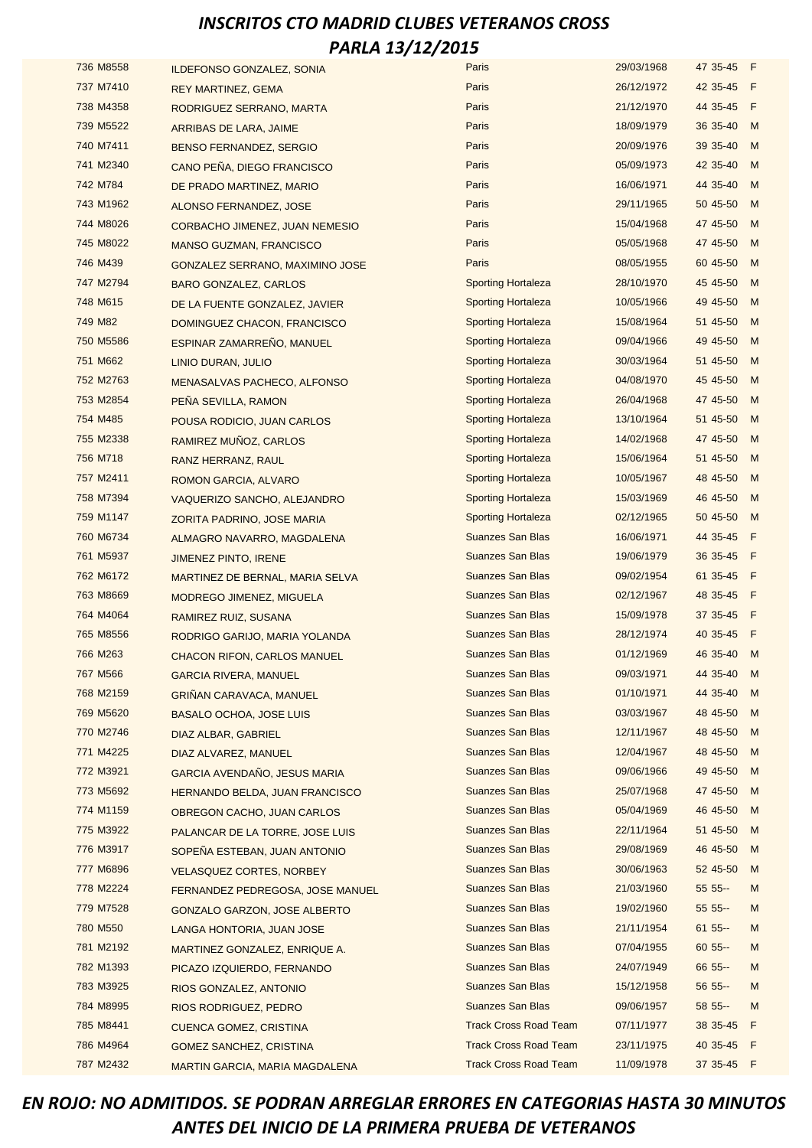| 736 M8558 | <b>ILDEFONSO GONZALEZ, SONIA</b> | Paris                        | 29/03/1968 | 47 35-45 F |   |
|-----------|----------------------------------|------------------------------|------------|------------|---|
| 737 M7410 | <b>REY MARTINEZ, GEMA</b>        | Paris                        | 26/12/1972 | 42 35-45 F |   |
| 738 M4358 | RODRIGUEZ SERRANO, MARTA         | Paris                        | 21/12/1970 | 44 35-45 F |   |
| 739 M5522 | ARRIBAS DE LARA, JAIME           | Paris                        | 18/09/1979 | 36 35-40   | M |
| 740 M7411 | <b>BENSO FERNANDEZ, SERGIO</b>   | Paris                        | 20/09/1976 | 39 35-40   | M |
| 741 M2340 | CANO PEÑA, DIEGO FRANCISCO       | Paris                        | 05/09/1973 | 42 35-40 M |   |
| 742 M784  | DE PRADO MARTINEZ, MARIO         | Paris                        | 16/06/1971 | 44 35-40   | M |
| 743 M1962 | ALONSO FERNANDEZ, JOSE           | Paris                        | 29/11/1965 | 50 45-50   | M |
| 744 M8026 | CORBACHO JIMENEZ, JUAN NEMESIO   | Paris                        | 15/04/1968 | 47 45-50   | M |
| 745 M8022 | <b>MANSO GUZMAN, FRANCISCO</b>   | Paris                        | 05/05/1968 | 47 45-50   | M |
| 746 M439  | GONZALEZ SERRANO, MAXIMINO JOSE  | Paris                        | 08/05/1955 | 60 45-50 M |   |
| 747 M2794 | <b>BARO GONZALEZ, CARLOS</b>     | <b>Sporting Hortaleza</b>    | 28/10/1970 | 45 45-50   | M |
| 748 M615  | DE LA FUENTE GONZALEZ, JAVIER    | <b>Sporting Hortaleza</b>    | 10/05/1966 | 49 45-50   | M |
| 749 M82   | DOMINGUEZ CHACON, FRANCISCO      | <b>Sporting Hortaleza</b>    | 15/08/1964 | 51 45-50   | M |
| 750 M5586 | ESPINAR ZAMARREÑO, MANUEL        | <b>Sporting Hortaleza</b>    | 09/04/1966 | 49 45-50   | M |
| 751 M662  | LINIO DURAN, JULIO               | <b>Sporting Hortaleza</b>    | 30/03/1964 | 51 45-50 M |   |
| 752 M2763 | MENASALVAS PACHECO, ALFONSO      | <b>Sporting Hortaleza</b>    | 04/08/1970 | 45 45-50   | M |
| 753 M2854 | PENA SEVILLA, RAMON              | <b>Sporting Hortaleza</b>    | 26/04/1968 | 47 45-50   | M |
| 754 M485  | POUSA RODICIO, JUAN CARLOS       | <b>Sporting Hortaleza</b>    | 13/10/1964 | 51 45-50   | M |
| 755 M2338 | RAMIREZ MUÑOZ, CARLOS            | <b>Sporting Hortaleza</b>    | 14/02/1968 | 47 45-50   | M |
| 756 M718  | RANZ HERRANZ, RAUL               | <b>Sporting Hortaleza</b>    | 15/06/1964 | 51 45-50 M |   |
| 757 M2411 | ROMON GARCIA, ALVARO             | <b>Sporting Hortaleza</b>    | 10/05/1967 | 48 45-50   | M |
| 758 M7394 | VAQUERIZO SANCHO, ALEJANDRO      | <b>Sporting Hortaleza</b>    | 15/03/1969 | 46 45-50   | M |
| 759 M1147 | ZORITA PADRINO, JOSE MARIA       | <b>Sporting Hortaleza</b>    | 02/12/1965 | 50 45-50 M |   |
| 760 M6734 | ALMAGRO NAVARRO, MAGDALENA       | <b>Suanzes San Blas</b>      | 16/06/1971 | 44 35-45 F |   |
| 761 M5937 | JIMENEZ PINTO, IRENE             | <b>Suanzes San Blas</b>      | 19/06/1979 | 36 35-45 F |   |
| 762 M6172 | MARTINEZ DE BERNAL, MARIA SELVA  | <b>Suanzes San Blas</b>      | 09/02/1954 | 61 35-45 F |   |
| 763 M8669 | <b>MODREGO JIMENEZ, MIGUELA</b>  | <b>Suanzes San Blas</b>      | 02/12/1967 | 48 35-45 F |   |
| 764 M4064 | RAMIREZ RUIZ, SUSANA             | <b>Suanzes San Blas</b>      | 15/09/1978 | 37 35-45 F |   |
| 765 M8556 | RODRIGO GARIJO, MARIA YOLANDA    | <b>Suanzes San Blas</b>      | 28/12/1974 | 40 35-45 F |   |
| 766 M263  | CHACON RIFON, CARLOS MANUEL      | <b>Suanzes San Blas</b>      | 01/12/1969 | 46 35-40 M |   |
| 767 M566  | <b>GARCIA RIVERA, MANUEL</b>     | <b>Suanzes San Blas</b>      | 09/03/1971 | 44 35-40   | M |
| 768 M2159 | <b>GRINAN CARAVACA, MANUEL</b>   | <b>Suanzes San Blas</b>      | 01/10/1971 | 44 35-40   | M |
| 769 M5620 | <b>BASALO OCHOA, JOSE LUIS</b>   | <b>Suanzes San Blas</b>      | 03/03/1967 | 48 45-50 M |   |
| 770 M2746 | DIAZ ALBAR, GABRIEL              | <b>Suanzes San Blas</b>      | 12/11/1967 | 48 45-50 M |   |
| 771 M4225 | DIAZ ALVAREZ, MANUEL             | <b>Suanzes San Blas</b>      | 12/04/1967 | 48 45-50   | M |
| 772 M3921 | GARCIA AVENDAÑO, JESUS MARIA     | Suanzes San Blas             | 09/06/1966 | 49 45-50 M |   |
| 773 M5692 | HERNANDO BELDA, JUAN FRANCISCO   | <b>Suanzes San Blas</b>      | 25/07/1968 | 47 45-50 M |   |
| 774 M1159 | OBREGON CACHO, JUAN CARLOS       | <b>Suanzes San Blas</b>      | 05/04/1969 | 46 45-50 M |   |
| 775 M3922 | PALANCAR DE LA TORRE, JOSE LUIS  | Suanzes San Blas             | 22/11/1964 | 51 45-50   | M |
| 776 M3917 | SOPENA ESTEBAN, JUAN ANTONIO     | <b>Suanzes San Blas</b>      | 29/08/1969 | 46 45-50   | M |
| 777 M6896 | <b>VELASQUEZ CORTES, NORBEY</b>  | <b>Suanzes San Blas</b>      | 30/06/1963 | 52 45-50   | M |
| 778 M2224 | FERNANDEZ PEDREGOSA, JOSE MANUEL | <b>Suanzes San Blas</b>      | 21/03/1960 | 55 55 --   | M |
| 779 M7528 | GONZALO GARZON, JOSE ALBERTO     | <b>Suanzes San Blas</b>      | 19/02/1960 | 55 55 --   | M |
| 780 M550  | LANGA HONTORIA, JUAN JOSE        | Suanzes San Blas             | 21/11/1954 | $6155 -$   | M |
| 781 M2192 | MARTINEZ GONZALEZ, ENRIQUE A.    | <b>Suanzes San Blas</b>      | 07/04/1955 | $6055 -$   | M |
| 782 M1393 | PICAZO IZQUIERDO, FERNANDO       | <b>Suanzes San Blas</b>      | 24/07/1949 | 66 55 --   | M |
| 783 M3925 | RIOS GONZALEZ, ANTONIO           | <b>Suanzes San Blas</b>      | 15/12/1958 | 56 55 --   | M |
| 784 M8995 | RIOS RODRIGUEZ, PEDRO            | <b>Suanzes San Blas</b>      | 09/06/1957 | 58 55 --   | M |
| 785 M8441 | <b>CUENCA GOMEZ, CRISTINA</b>    | <b>Track Cross Road Team</b> | 07/11/1977 | 38 35-45 F |   |
| 786 M4964 | <b>GOMEZ SANCHEZ, CRISTINA</b>   | <b>Track Cross Road Team</b> | 23/11/1975 | 40 35-45 F |   |
| 787 M2432 | MARTIN GARCIA, MARIA MAGDALENA   | <b>Track Cross Road Team</b> | 11/09/1978 | 37 35-45 F |   |
|           |                                  |                              |            |            |   |